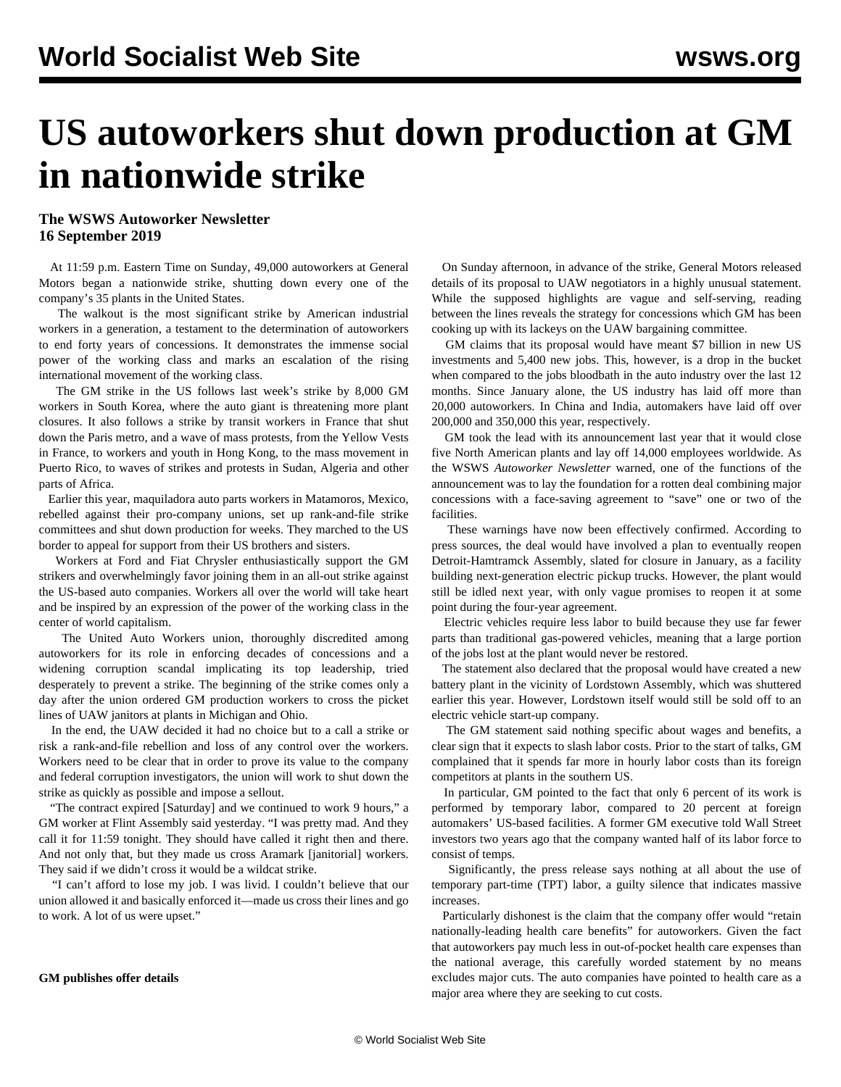# **US autoworkers shut down production at GM in nationwide strike**

## **The WSWS Autoworker Newsletter 16 September 2019**

 At 11:59 p.m. Eastern Time on Sunday, 49,000 autoworkers at General Motors began a nationwide strike, shutting down every one of the company's 35 plants in the United States.

 The walkout is the most significant strike by American industrial workers in a generation, a testament to the determination of autoworkers to end forty years of concessions. It demonstrates the immense social power of the working class and marks an escalation of the rising international movement of the working class.

 The GM strike in the US follows last week's strike by 8,000 GM workers in South Korea, where the auto giant is threatening more plant closures. It also follows a strike by transit workers in France that shut down the Paris metro, and a wave of mass protests, from the Yellow Vests in France, to workers and youth in Hong Kong, to the mass movement in Puerto Rico, to waves of strikes and protests in Sudan, Algeria and other parts of Africa.

 Earlier this year, maquiladora auto parts workers in Matamoros, Mexico, rebelled against their pro-company unions, set up rank-and-file strike committees and shut down production for weeks. They marched to the US border to appeal for support from their US brothers and sisters.

 Workers at Ford and Fiat Chrysler enthusiastically support the GM strikers and overwhelmingly favor joining them in an all-out strike against the US-based auto companies. Workers all over the world will take heart and be inspired by an expression of the power of the working class in the center of world capitalism.

 The United Auto Workers union, thoroughly discredited among autoworkers for its role in enforcing decades of concessions and a widening corruption scandal implicating its top leadership, tried desperately to prevent a strike. The beginning of the strike comes only a day after the union ordered GM production workers to cross the picket lines of UAW janitors at plants in Michigan and Ohio.

 In the end, the UAW decided it had no choice but to a call a strike or risk a rank-and-file rebellion and loss of any control over the workers. Workers need to be clear that in order to prove its value to the company and federal corruption investigators, the union will work to shut down the strike as quickly as possible and impose a sellout.

 "The contract expired [Saturday] and we continued to work 9 hours," a GM worker at Flint Assembly said yesterday. "I was pretty mad. And they call it for 11:59 tonight. They should have called it right then and there. And not only that, but they made us cross Aramark [janitorial] workers. They said if we didn't cross it would be a wildcat strike.

 "I can't afford to lose my job. I was livid. I couldn't believe that our union allowed it and basically enforced it—made us cross their lines and go to work. A lot of us were upset."

#### **GM publishes offer details**

 On Sunday afternoon, in advance of the strike, General Motors released details of its proposal to UAW negotiators in a highly unusual statement. While the supposed highlights are vague and self-serving, reading between the lines reveals the strategy for concessions which GM has been cooking up with its lackeys on the UAW bargaining committee.

 GM claims that its proposal would have meant \$7 billion in new US investments and 5,400 new jobs. This, however, is a drop in the bucket when compared to the jobs bloodbath in the auto industry over the last 12 months. Since January alone, the US industry has laid off more than 20,000 autoworkers. In China and India, automakers have laid off over 200,000 and 350,000 this year, respectively.

 GM took the lead with its announcement last year that it would close five North American plants and lay off 14,000 employees worldwide. As the WSWS *Autoworker Newsletter* warned, one of the functions of the announcement was to lay the foundation for a rotten deal combining major concessions with a face-saving agreement to "save" one or two of the facilities.

 These warnings have now been effectively confirmed. According to press sources, the deal would have involved a plan to eventually reopen Detroit-Hamtramck Assembly, slated for closure in January, as a facility building next-generation electric pickup trucks. However, the plant would still be idled next year, with only vague promises to reopen it at some point during the four-year agreement.

 Electric vehicles require less labor to build because they use far fewer parts than traditional gas-powered vehicles, meaning that a large portion of the jobs lost at the plant would never be restored.

 The statement also declared that the proposal would have created a new battery plant in the vicinity of Lordstown Assembly, which was shuttered earlier this year. However, Lordstown itself would still be sold off to an electric vehicle start-up company.

 The GM statement said nothing specific about wages and benefits, a clear sign that it expects to slash labor costs. Prior to the start of talks, GM complained that it spends far more in hourly labor costs than its foreign competitors at plants in the southern US.

 In particular, GM pointed to the fact that only 6 percent of its work is performed by temporary labor, compared to 20 percent at foreign automakers' US-based facilities. A former GM executive told Wall Street investors two years ago that the company wanted half of its labor force to consist of temps.

 Significantly, the press release says nothing at all about the use of temporary part-time (TPT) labor, a guilty silence that indicates massive increases.

 Particularly dishonest is the claim that the company offer would "retain nationally-leading health care benefits" for autoworkers. Given the fact that autoworkers pay much less in out-of-pocket health care expenses than the national average, this carefully worded statement by no means excludes major cuts. The auto companies have pointed to health care as a major area where they are seeking to cut costs.